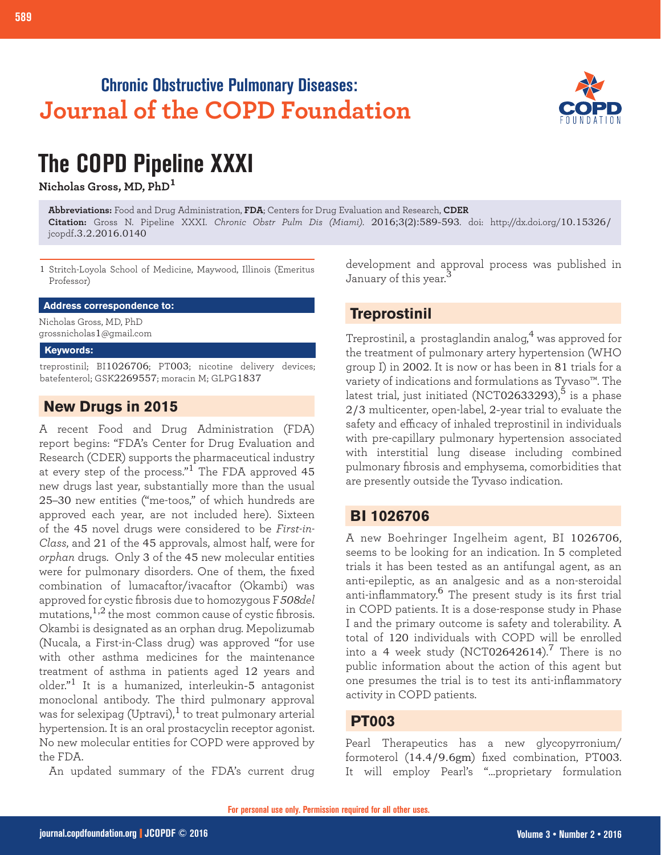## **Chronic Obstructive Pulmonary Diseases: Journal of the COPD Foundation**



# **The COPD Pipeline XXXI**

**Nicholas Gross, MD, PhD<sup>1</sup>**

**Abbreviations:** Food and Drug Administration, **FDA**; Centers for Drug Evaluation and Research, **CDER Citation:** Gross N. Pipeline XXXI. *Chronic Obstr Pulm Dis (Miami)*. 2016;3(2):589-593. doi: http://dx.doi.org/10.15326/ jcopdf.3.2.2016.0140

1 Stritch-Loyola School of Medicine, Maywood, Illinois (Emeritus Professor)

**Address correspondence to:**

Nicholas Gross, MD, PhD grossnicholas1@gmail.com

#### **Keywords:**

treprostinil; BI1026706; PT003; nicotine delivery devices; batefenterol; GSK2269557; moracin M; GLPG1837

#### **New Drugs in 2015**

A recent Food and Drug Administration (FDA) report begins: "FDA's Center for Drug Evaluation and Research (CDER) supports the pharmaceutical industry at every step of the process."<sup>1</sup> The FDA approved  $45$ new drugs last year, substantially more than the usual 25–30 new entities ("me-toos," of which hundreds are approved each year, are not included here). Sixteen of the 45 novel drugs were considered to be *First-in-Class*, and 21 of the 45 approvals, almost half, were for *orphan* drugs. Only 3 of the 45 new molecular entities were for pulmonary disorders. One of them, the fixed combination of lumacaftor/ivacaftor (Okambi) was approved for cystic fibrosis due to homozygous F*508del* mutations,  $1,2$  the most common cause of cystic fibrosis. Okambi is designated as an orphan drug. Mepolizumab (Nucala, a First-in-Class drug) was approved "for use with other asthma medicines for the maintenance treatment of asthma in patients aged 12 years and older."1 It is a humanized, interleukin-5 antagonist monoclonal antibody. The third pulmonary approval was for selexipag (Uptravi),<sup>1</sup> to treat pulmonary arterial hypertension. It is an oral prostacyclin receptor agonist. No new molecular entities for COPD were approved by the FDA.

An updated summary of the FDA's current drug

development and approval process was published in January of this year.<sup>3</sup>

### **Treprostinil**

Treprostinil, a prostaglandin analog,<sup>4</sup> was approved for the treatment of pulmonary artery hypertension (WHO group I) in 2002. It is now or has been in 81 trials for a variety of indications and formulations as Tyvaso™. The latest trial, just initiated (NCT02633293), $^5$  is a phase 2/3 multicenter, open-label, 2-year trial to evaluate the safety and efficacy of inhaled treprostinil in individuals with pre-capillary pulmonary hypertension associated with interstitial lung disease including combined pulmonary fibrosis and emphysema, comorbidities that are presently outside the Tyvaso indication.

#### **BI 1026706**

A new Boehringer Ingelheim agent, BI 1026706, seems to be looking for an indication. In 5 completed trials it has been tested as an antifungal agent, as an anti-epileptic, as an analgesic and as a non-steroidal anti-inflammatory.<sup>6</sup> The present study is its first trial in COPD patients. It is a dose-response study in Phase I and the primary outcome is safety and tolerability. A total of 120 individuals with COPD will be enrolled into a 4 week study (NCT02642614).<sup>7</sup> There is no public information about the action of this agent but one presumes the trial is to test its anti-inflammatory activity in COPD patients.

#### **PT003**

Pearl Therapeutics has a new glycopyrronium/ formoterol (14.4/9.6gm) fixed combination, PT003. It will employ Pearl's "…proprietary formulation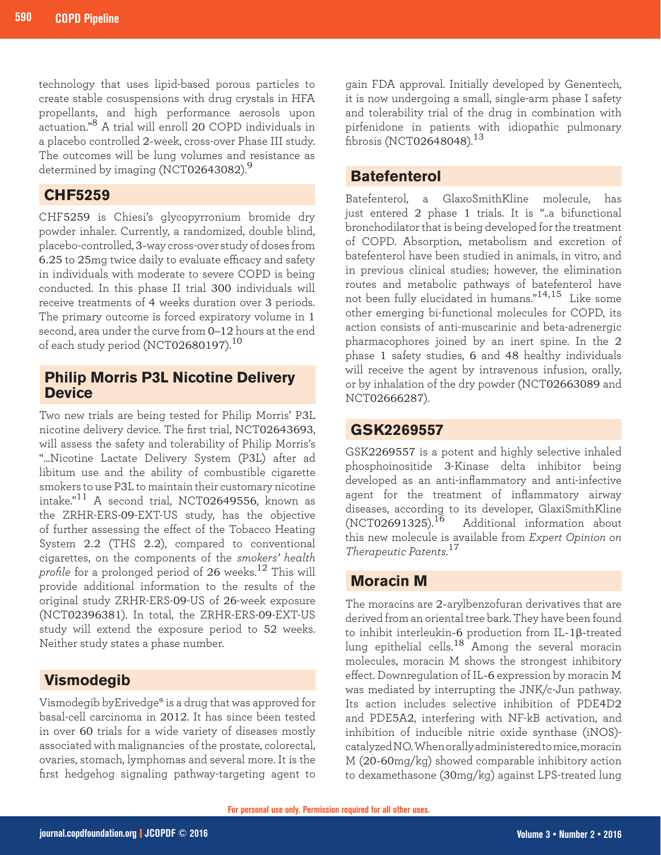technology that uses lipid-based porous particles to create stable cosuspensions with drug crystals in HFA propellants, and high performance aerosols upon actuation."8 A trial will enroll 20 COPD individuals in a placebo controlled 2-week, cross-over Phase III study. The outcomes will be lung volumes and resistance as determined by imaging (NCT02643082). $^9$ 

#### **CHF5259**

CHF5259 is Chiesi's glycopyrronium bromide dry powder inhaler. Currently, a randomized, double blind, placebo-controlled, 3-way cross-over study of doses from 6.25 to 25mg twice daily to evaluate efficacy and safety in individuals with moderate to severe COPD is being conducted. In this phase II trial 300 individuals will receive treatments of 4 weeks duration over 3 periods. The primary outcome is forced expiratory volume in 1 second, area under the curve from 0–12 hours at the end of each study period (NCT02680197).<sup>10</sup>

#### **Philip Morris P3L Nicotine Delivery Device**

Two new trials are being tested for Philip Morris' P3L nicotine delivery device. The first trial, NCT02643693, will assess the safety and tolerability of Philip Morris's "...Nicotine Lactate Delivery System (P3L) after ad libitum use and the ability of combustible cigarette smokers to use P3L to maintain their customary nicotine intake."11 A second trial, NCT02649556, known as the ZRHR-ERS-09-EXT-US study, has the objective of further assessing the effect of the Tobacco Heating System 2.2 (THS 2.2), compared to conventional cigarettes, on the components of the *smokers' health profile* for a prolonged period of 26 weeks.<sup>12</sup> This will provide additional information to the results of the original study ZRHR-ERS-09-US of 26-week exposure (NCT02396381). In total, the ZRHR-ERS-09-EXT-US study will extend the exposure period to 52 weeks. Neither study states a phase number.

#### **Vismodegib**

Vismodegib byErivedge® is a drug that was approved for basal-cell carcinoma in 2012. It has since been tested in over 60 trials for a wide variety of diseases mostly associated with malignancies of the prostate, colorectal, ovaries, stomach, lymphomas and several more. It is the first hedgehog signaling pathway-targeting agent to

gain FDA approval. Initially developed by Genentech, it is now undergoing a small, single-arm phase I safety and tolerability trial of the drug in combination with pirfenidone in patients with idiopathic pulmonary fibrosis (NCT02648048).<sup>13</sup>

#### **Batefenterol**

Batefenterol, a GlaxoSmithKline molecule, has just entered 2 phase 1 trials. It is "..a bifunctional bronchodilator that is being developed for the treatment of COPD. Absorption, metabolism and excretion of batefenterol have been studied in animals, in vitro, and in previous clinical studies; however, the elimination routes and metabolic pathways of batefenterol have not been fully elucidated in humans."14,15 Like some other emerging bi-functional molecules for COPD, its action consists of anti-muscarinic and beta-adrenergic pharmacophores joined by an inert spine. In the 2 phase 1 safety studies, 6 and 48 healthy individuals will receive the agent by intravenous infusion, orally, or by inhalation of the dry powder (NCT02663089 and NCT02666287).

#### **GSK2269557**

GSK2269557 is a potent and highly selective inhaled phosphoinositide 3-Kinase delta inhibitor being developed as an anti-inflammatory and anti-infective agent for the treatment of inflammatory airway diseases, according to its developer, GlaxiSmithKline<br>(NCT02691325).<sup>16</sup> Additional information about Additional information about this new molecule is available from *Expert Opinion on Therapeutic Patents*. 17

#### **Moracin M**

The moracins are 2-arylbenzofuran derivatives that are derived from an oriental tree bark. They have been found to inhibit interleukin-6 production from IL-1β-treated lung epithelial cells.<sup>18</sup> Among the several moracin molecules, moracin M shows the strongest inhibitory effect. Downregulation of IL-6 expression by moracin M was mediated by interrupting the JNK/c-Jun pathway. Its action includes selective inhibition of PDE4D2 and PDE5A2, interfering with NF-kB activation, and inhibition of inducible nitric oxide synthase (iNOS) catalyzed NO. When orally administered to mice, moracin M (20-60mg/kg) showed comparable inhibitory action to dexamethasone (30mg/kg) against LPS-treated lung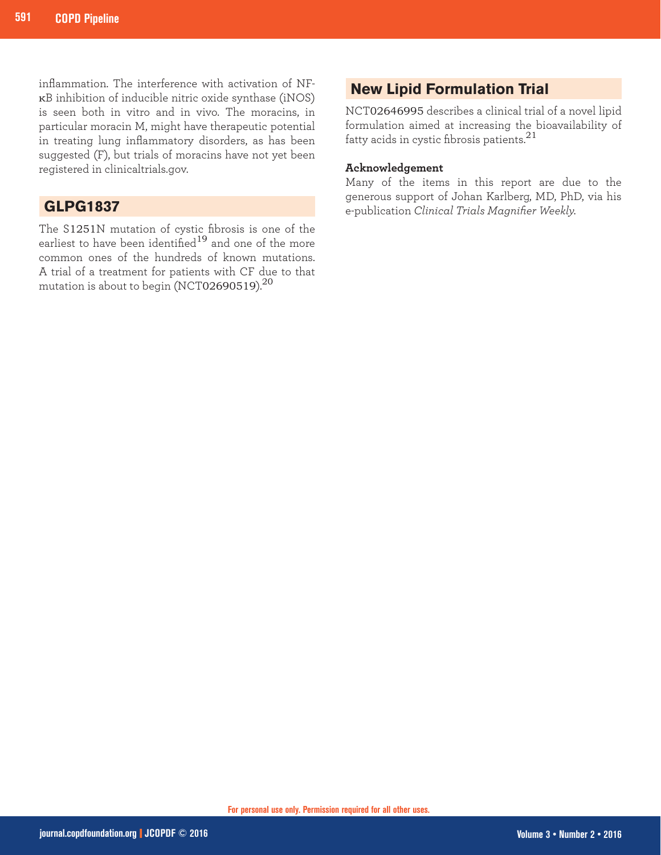inflammation. The interference with activation of NFκB inhibition of inducible nitric oxide synthase (iNOS) is seen both in vitro and in vivo. The moracins, in particular moracin M, might have therapeutic potential in treating lung inflammatory disorders, as has been suggested (F), but trials of moracins have not yet been registered in clinicaltrials.gov.

#### **GLPG1837**

The S1251N mutation of cystic fibrosis is one of the earliest to have been identified<sup>19</sup> and one of the more common ones of the hundreds of known mutations. A trial of a treatment for patients with CF due to that mutation is about to begin (NCT02690519).<sup>20</sup>

### **New Lipid Formulation Trial**

NCT02646995 describes a clinical trial of a novel lipid formulation aimed at increasing the bioavailability of fatty acids in cystic fibrosis patients. $^{21}$ 

#### **Acknowledgement**

Many of the items in this report are due to the generous support of Johan Karlberg, MD, PhD, via his e-publication *Clinical Trials Magnifier Weekly.*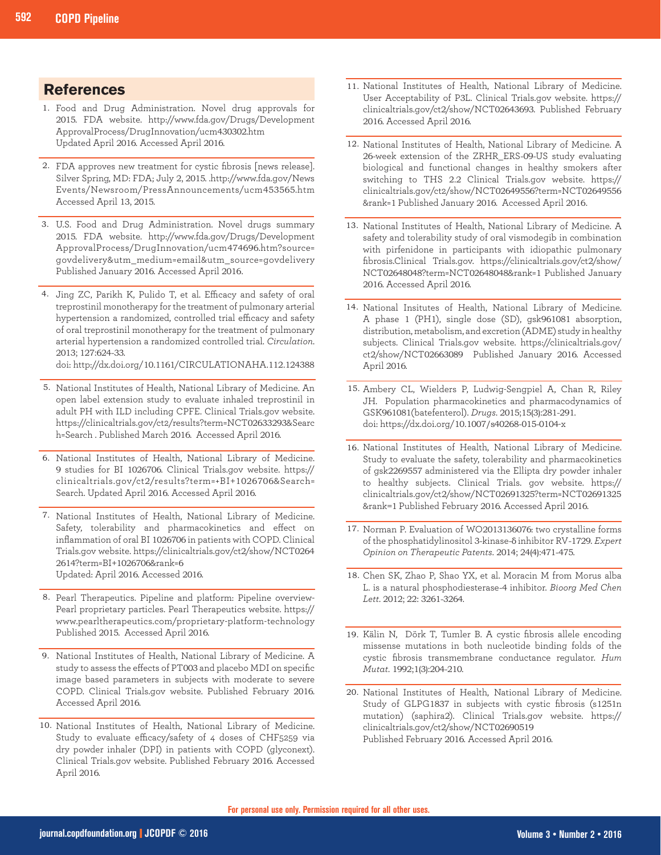#### **References**

- Food and Drug Administration. Novel drug approvals for 1. 2015. FDA website. http://www.fda.gov/Drugs/Development ApprovalProcess/DrugInnovation/ucm430302.htm Updated April 2016. Accessed April 2016.
- FDA approves new treatment for cystic fibrosis [news release]. 2. Silver Spring, MD: FDA; July 2, 2015. .http://www.fda.gov/News Events/Newsroom/PressAnnouncements/ucm453565.htm Accessed April 13, 2015.
- U.S. Food and Drug Administration. Novel drugs summary 3. 2015. FDA website. http://www.fda.gov/Drugs/Development ApprovalProcess/DrugInnovation/ucm474696.htm?source= govdelivery&utm\_medium=email&utm\_source=govdelivery Published January 2016. Accessed April 2016.
- 4. Jing ZC, Parikh K, Pulido T, et al. Efficacy and safety of oral treprostinil monotherapy for the treatment of pulmonary arterial hypertension a randomized, controlled trial efficacy and safety of oral treprostinil monotherapy for the treatment of pulmonary arterial hypertension a randomized controlled trial. *Circulation*. 2013; 127:624-33.

doi: http://dx.doi.org/10.1161/CIRCULATIONAHA.112.124388

- 5. National Institutes of Health, National Library of Medicine. An open label extension study to evaluate inhaled treprostinil in adult PH with ILD including CPFE. Clinical Trials.gov website. https://clinicaltrials.gov/ct2/results?term=NCT02633293&Searc h=Search . Published March 2016. Accessed April 2016.
- 6. National Institutes of Health, National Library of Medicine. 9 studies for BI 1026706. Clinical Trials.gov website. https:// clinicaltrials.gov/ct2/results?term=+BI+1026706&Search= Search. Updated April 2016. Accessed April 2016.
- 7. National Institutes of Health, National Library of Medicine. Safety, tolerability and pharmacokinetics and effect on inflammation of oral BI 1026706 in patients with COPD. Clinical Trials.gov website. https://clinicaltrials.gov/ct2/show/NCT0264 2614?term=BI+1026706&rank=6 Updated: April 2016. Accessed 2016.
- 8. Pearl Therapeutics. Pipeline and platform: Pipeline overview-Pearl proprietary particles. Pearl Therapeutics website. https:// www.pearltherapeutics.com/proprietary-platform-technology Published 2015. Accessed April 2016.
- 9. National Institutes of Health, National Library of Medicine. A study to assess the effects of PT003 and placebo MDI on specific image based parameters in subjects with moderate to severe COPD. Clinical Trials.gov website. Published February 2016. Accessed April 2016.
- 10. National Institutes of Health, National Library of Medicine. Study to evaluate efficacy/safety of 4 doses of CHF5259 via dry powder inhaler (DPI) in patients with COPD (glyconext). Clinical Trials.gov website. Published February 2016. Accessed April 2016.
- 11. National Institutes of Health, National Library of Medicine. User Acceptability of P3L. Clinical Trials.gov website. https:// clinicaltrials.gov/ct2/show/NCT02643693. Published February 2016. Accessed April 2016.
- 12. National Institutes of Health, National Library of Medicine. A 26-week extension of the ZRHR\_ERS-09-US study evaluating biological and functional changes in healthy smokers after switching to THS 2.2 Clinical Trials.gov website. https:// clinicaltrials.gov/ct2/show/NCT02649556?term=NCT02649556 &rank=1 Published January 2016. Accessed April 2016.
- 13. National Institutes of Health, National Library of Medicine. A safety and tolerability study of oral vismodegib in combination with pirfenidone in participants with idiopathic pulmonary fibrosis.Clinical Trials.gov. https://clinicaltrials.gov/ct2/show/ NCT02648048?term=NCT02648048&rank=1 Published January 2016. Accessed April 2016.
- 14. National Insitutes of Health, National Library of Medicine. A phase 1 (PH1), single dose (SD), gsk961081 absorption, distribution, metabolism, and excretion (ADME) study in healthy subjects. Clinical Trials.gov website. https://clinicaltrials.gov/ ct2/show/NCT02663089 Published January 2016. Accessed April 2016.
- 15. Ambery CL, Wielders P, Ludwig-Sengpiel A, Chan R, Riley JH. Population pharmacokinetics and pharmacodynamics of GSK961081(batefenterol). *Drugs*. 2015;15(3):281-291. doi: https://dx.doi.org/10.1007/s40268-015-0104-x
- 16. National Institutes of Health, National Library of Medicine. Study to evaluate the safety, tolerability and pharmacokinetics of gsk2269557 administered via the Ellipta dry powder inhaler to healthy subjects. Clinical Trials. gov website. https:// clinicaltrials.gov/ct2/show/NCT02691325?term=NCT02691325 &rank=1 Published February 2016. Accessed April 2016.
- 17. Norman P. Evaluation of WO2013136076: two crystalline forms of the phosphatidylinositol 3-kinase-δ inhibitor RV-1729. *Expert Opinion on Therapeutic Patents*. 2014; 24(4):471-475.
- 18. Chen SK, Zhao P, Shao YX, et al. Moracin M from Morus alba L. is a natural phosphodiesterase-4 inhibitor. *Bioorg Med Chen Lett*. 2012; 22: 3261-3264.
- Kälin N, Dörk T, Tumler B. A cystic fibrosis allele encoding 19. missense mutations in both nucleotide binding folds of the cystic fibrosis transmembrane conductance regulator. *Hum Mutat*. 1992;1(3):204-210.
- 20. National Institutes of Health, National Library of Medicine. Study of GLPG1837 in subjects with cystic fibrosis (s1251n mutation) (saphira2). Clinical Trials.gov website. https:// clinicaltrials.gov/ct2/show/NCT02690519 Published February 2016. Accessed April 2016.